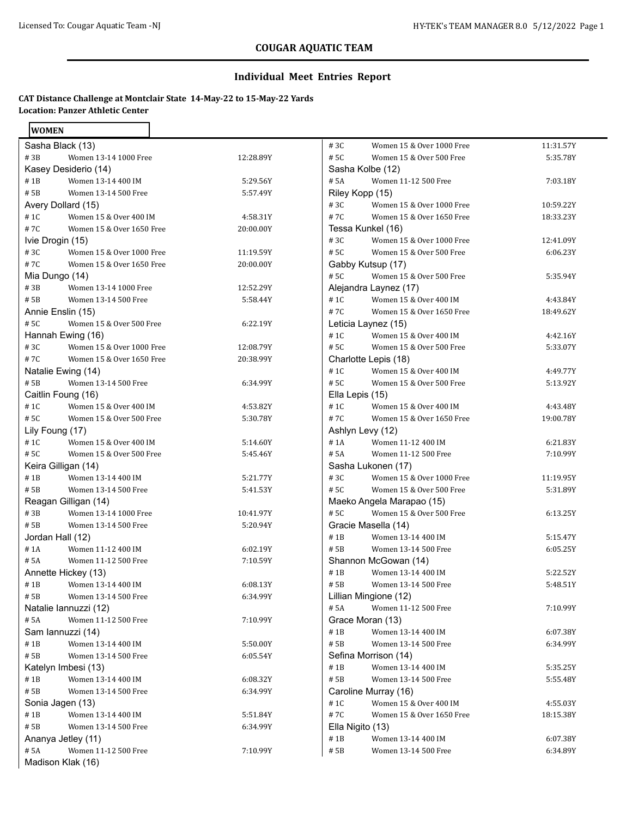**WOMEN** 

# **COUGAR AQUATIC TEAM**

### **Individual Meet Entries Report**

### **CAT Distance Challenge at Montclair State 14-May-22 to 15-May-22 Yards Location: Panzer Athletic Center**

| ,,,,,,,,,                         |           |                                   |           |
|-----------------------------------|-----------|-----------------------------------|-----------|
| Sasha Black (13)                  |           | #3C<br>Women 15 & Over 1000 Free  | 11:31.57Y |
| #3B<br>Women 13-14 1000 Free      | 12:28.89Y | # 5C<br>Women 15 & Over 500 Free  | 5:35.78Y  |
| Kasey Desiderio (14)              |           | Sasha Kolbe (12)                  |           |
| #1B<br>Women 13-14 400 IM         | 5:29.56Y  | # 5A<br>Women 11-12 500 Free      | 7:03.18Y  |
| # 5B<br>Women 13-14 500 Free      | 5:57.49Y  | Riley Kopp (15)                   |           |
| Avery Dollard (15)                |           | #3C<br>Women 15 & Over 1000 Free  | 10:59.22Y |
| # 1C<br>Women 15 & Over 400 IM    | 4:58.31Y  | #7C<br>Women 15 & Over 1650 Free  | 18:33.23Y |
| #7C<br>Women 15 & Over 1650 Free  | 20:00.00Y | Tessa Kunkel (16)                 |           |
| Ivie Drogin (15)                  |           | #3C<br>Women 15 & Over 1000 Free  | 12:41.09Y |
| #3C<br>Women 15 & Over 1000 Free  | 11:19.59Y | # 5C<br>Women 15 & Over 500 Free  | 6:06.23Y  |
| #7C<br>Women 15 & Over 1650 Free  | 20:00.00Y | Gabby Kutsup (17)                 |           |
| Mia Dungo (14)                    |           | #5C<br>Women 15 & Over 500 Free   | 5:35.94Y  |
| #3B<br>Women 13-14 1000 Free      | 12:52.29Y | Alejandra Laynez (17)             |           |
| # 5B<br>Women 13-14 500 Free      | 5:58.44Y  | # 1C<br>Women 15 & Over 400 IM    | 4:43.84Y  |
| Annie Enslin (15)                 |           | #7C<br>Women 15 & Over 1650 Free  | 18:49.62Y |
| #5C<br>Women 15 & Over 500 Free   | 6:22.19Y  | Leticia Laynez (15)               |           |
| Hannah Ewing (16)                 |           | # 1C<br>Women 15 & Over 400 IM    | 4:42.16Y  |
| #3C<br>Women 15 & Over 1000 Free  | 12:08.79Y | # 5C<br>Women 15 & Over 500 Free  | 5:33.07Y  |
| #7C<br>Women 15 & Over 1650 Free  | 20:38.99Y | Charlotte Lepis (18)              |           |
| Natalie Ewing (14)                |           | # 1C<br>Women 15 & Over 400 IM    | 4:49.77Y  |
| # 5B<br>Women 13-14 500 Free      | 6:34.99Y  | # 5C<br>Women 15 & Over 500 Free  | 5:13.92Y  |
| Caitlin Foung (16)                |           | Ella Lepis (15)                   |           |
| #1C<br>Women 15 & Over 400 IM     | 4:53.82Y  | # 1C<br>Women 15 & Over 400 IM    | 4:43.48Y  |
| #5C<br>Women 15 & Over 500 Free   | 5:30.78Y  | #7C<br>Women 15 & Over 1650 Free  | 19:00.78Y |
| Lily Foung (17)                   |           | Ashlyn Levy (12)                  |           |
| $\#$ 1C<br>Women 15 & Over 400 IM | 5:14.60Y  | # 1A<br>Women 11-12 400 IM        | 6:21.83Y  |
| #5C<br>Women 15 & Over 500 Free   | 5:45.46Y  | # 5A<br>Women 11-12 500 Free      | 7:10.99Y  |
| Keira Gilligan (14)               |           | Sasha Lukonen (17)                |           |
| #1B<br>Women 13-14 400 IM         | 5:21.77Y  | #3C<br>Women 15 & Over 1000 Free  | 11:19.95Y |
| # 5B<br>Women 13-14 500 Free      | 5:41.53Y  | # 5C<br>Women 15 & Over 500 Free  | 5:31.89Y  |
| Reagan Gilligan (14)              |           | Maeko Angela Marapao (15)         |           |
| #3B<br>Women 13-14 1000 Free      | 10:41.97Y | # 5C<br>Women 15 & Over 500 Free  | 6:13.25Y  |
| # 5B<br>Women 13-14 500 Free      | 5:20.94Y  | Gracie Masella (14)               |           |
| Jordan Hall (12)                  |           | #1B<br>Women 13-14 400 IM         | 5:15.47Y  |
| #1A<br>Women 11-12 400 IM         | 6:02.19Y  | # 5B<br>Women 13-14 500 Free      | 6:05.25Y  |
| # 5A<br>Women 11-12 500 Free      | 7:10.59Y  | Shannon McGowan (14)              |           |
| Annette Hickey (13)               |           | #1B<br>Women 13-14 400 IM         | 5:22.52Y  |
| #1B<br>Women 13-14 400 IM         | 6:08.13Y  | # 5B<br>Women 13-14 500 Free      | 5:48.51Y  |
| # 5B<br>Women 13-14 500 Free      | 6:34.99Y  | Lillian Mingione (12)             |           |
| Natalie Iannuzzi (12)             |           | # 5A<br>Women 11-12 500 Free      | 7:10.99Y  |
| # 5A<br>Women 11-12 500 Free      | 7:10.99Y  | Grace Moran (13)                  |           |
| Sam lannuzzi (14)                 |           | #1B<br>Women 13-14 400 IM         | 6:07.38Y  |
| #1B<br>Women 13-14 400 IM         | 5:50.00Y  | # 5B<br>Women 13-14 500 Free      | 6:34.99Y  |
| # 5B<br>Women 13-14 500 Free      | 6:05.54Y  | Sefina Morrison (14)              |           |
| Katelyn Imbesi (13)               |           | #1B<br>Women 13-14 400 IM         | 5:35.25Y  |
| #1B<br>Women 13-14 400 IM         | 6:08.32Y  | # 5B<br>Women 13-14 500 Free      | 5:55.48Y  |
| # 5B<br>Women 13-14 500 Free      | 6:34.99Y  | Caroline Murray (16)              |           |
| Sonia Jagen (13)                  |           | $\#$ 1C<br>Women 15 & Over 400 IM | 4:55.03Y  |
| $\#$ 1B<br>Women 13-14 400 IM     | 5:51.84Y  | #7C<br>Women 15 & Over 1650 Free  | 18:15.38Y |
| # 5B<br>Women 13-14 500 Free      | 6:34.99Y  | Ella Nigito (13)                  |           |
| Ananya Jetley (11)                |           | $\#$ 1B<br>Women 13-14 400 IM     | 6:07.38Y  |
| # 5A<br>Women 11-12 500 Free      | 7:10.99Y  | # 5B<br>Women 13-14 500 Free      | 6:34.89Y  |
| Madison Klak (16)                 |           |                                   |           |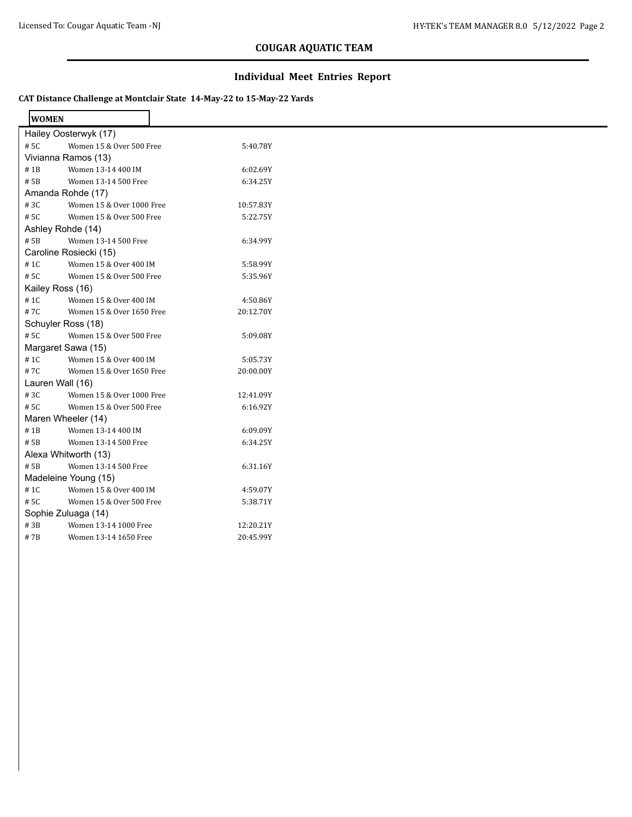## **COUGAR AQUATIC TEAM**

### **Individual Meet Entries Report**

### **CAT Distance Challenge at Montclair State 14-May-22 to 15-May-22 Yards**

 $\overline{\phantom{0}}$ 

| <b>WOMEN</b> |                           |           |
|--------------|---------------------------|-----------|
|              | Hailey Oosterwyk (17)     |           |
| #5C          | Women 15 & Over 500 Free  | 5:40.78Y  |
|              | Vivianna Ramos (13)       |           |
| # 1 B        | Women 13-14 400 IM        | 6:02.69Y  |
| # 5B         | Women 13-14 500 Free      | 6:34.25Y  |
|              | Amanda Rohde (17)         |           |
| #3C          | Women 15 & Over 1000 Free | 10:57.83Y |
| # 5C         | Women 15 & Over 500 Free  | 5:22.75Y  |
|              | Ashley Rohde (14)         |           |
| # 5B         | Women 13-14 500 Free      | 6:34.99Y  |
|              | Caroline Rosiecki (15)    |           |
| # 1C         | Women 15 & Over 400 IM    | 5:58.99Y  |
| # 5C         | Women 15 & Over 500 Free  | 5:35.96Y  |
|              | Kailey Ross (16)          |           |
| # 1C         | Women 15 & Over 400 IM    | 4:50.86Y  |
| #7C          | Women 15 & Over 1650 Free | 20:12.70Y |
|              | Schuyler Ross (18)        |           |
| #5C          | Women 15 & Over 500 Free  | 5:09.08Y  |
|              | Margaret Sawa (15)        |           |
| # 1C         | Women 15 & Over 400 IM    | 5:05.73Y  |
| #7C          | Women 15 & Over 1650 Free | 20:00.00Y |
|              | Lauren Wall (16)          |           |
| #3C          | Women 15 & Over 1000 Free | 12:41.09Y |
| # 5C         | Women 15 & Over 500 Free  | 6:16.92Y  |
|              | Maren Wheeler (14)        |           |
| #1B          | Women 13-14 400 IM        | 6:09.09Y  |
| # 5B         | Women 13-14 500 Free      | 6:34.25Y  |
|              | Alexa Whitworth (13)      |           |
| # 5B         | Women 13-14 500 Free      | 6:31.16Y  |
|              | Madeleine Young (15)      |           |
| # 1C         | Women 15 & Over 400 IM    | 4:59.07Y  |
| # 5C         | Women 15 & Over 500 Free  | 5:38.71Y  |
|              | Sophie Zuluaga (14)       |           |
| #3B          | Women 13-14 1000 Free     | 12:20.21Y |
| # 7B         | Women 13-14 1650 Free     | 20:45.99Y |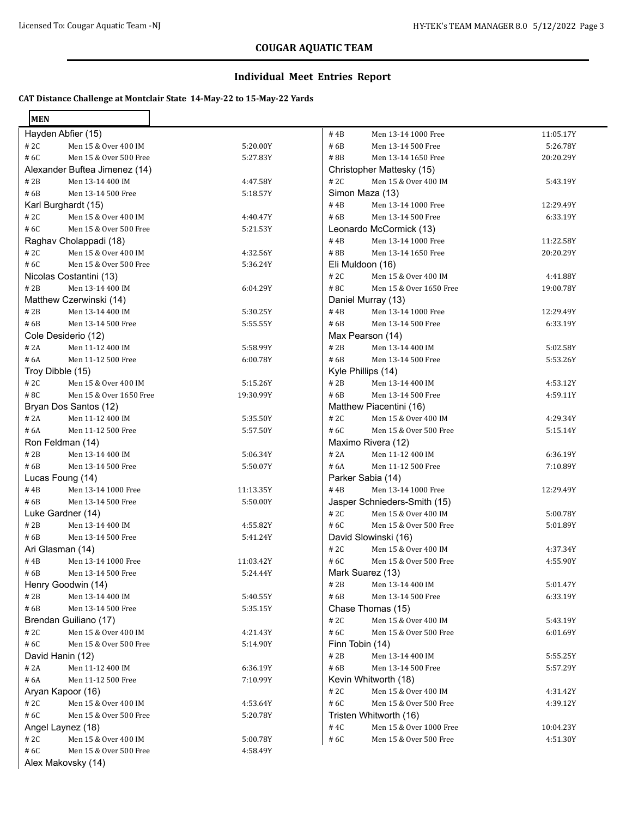## **COUGAR AQUATIC TEAM**

### **Individual Meet Entries Report**

### **CAT Distance Challenge at Montclair State 14-May-22 to 15-May-22 Yards**

| <b>MEN</b>              |                               |           |                    |                              |           |
|-------------------------|-------------------------------|-----------|--------------------|------------------------------|-----------|
| Hayden Abfier (15)      |                               |           | #4B                | Men 13-14 1000 Free          | 11:05.17Y |
| #2C                     | Men 15 & Over 400 IM          | 5:20.00Y  | # 6B               | Men 13-14 500 Free           | 5:26.78Y  |
| #6C                     | Men 15 & Over 500 Free        | 5:27.83Y  | #8B                | Men 13-14 1650 Free          | 20:20.29Y |
|                         | Alexander Buftea Jimenez (14) |           |                    | Christopher Mattesky (15)    |           |
| #2B                     | Men 13-14 400 IM              | 4:47.58Y  | #2C                | Men 15 & Over 400 IM         | 5:43.19Y  |
| #6B                     | Men 13-14 500 Free            | 5:18.57Y  | Simon Maza (13)    |                              |           |
| Karl Burghardt (15)     |                               |           | #4B                | Men 13-14 1000 Free          | 12:29.49Y |
| #2C                     | Men 15 & Over 400 IM          | 4:40.47Y  | # 6B               | Men 13-14 500 Free           | 6:33.19Y  |
| #6C                     | Men 15 & Over 500 Free        | 5:21.53Y  |                    | Leonardo McCormick (13)      |           |
| Raghav Cholappadi (18)  |                               |           | #4B                | Men 13-14 1000 Free          | 11:22.58Y |
| #2C                     | Men 15 & Over 400 IM          | 4:32.56Y  | #8B                | Men 13-14 1650 Free          | 20:20.29Y |
| #6C                     | Men 15 & Over 500 Free        | 5:36.24Y  | Eli Muldoon (16)   |                              |           |
| Nicolas Costantini (13) |                               |           | #2C                | Men 15 & Over 400 IM         | 4:41.88Y  |
| #2B                     | Men 13-14 400 IM              | 6:04.29Y  | #8C                | Men 15 & Over 1650 Free      | 19:00.78Y |
| Matthew Czerwinski (14) |                               |           | Daniel Murray (13) |                              |           |
| #2B                     | Men 13-14 400 IM              | 5:30.25Y  | #4B                | Men 13-14 1000 Free          | 12:29.49Y |
| #6B                     | Men 13-14 500 Free            | 5:55.55Y  | # 6B               | Men 13-14 500 Free           | 6:33.19Y  |
| Cole Desiderio (12)     |                               |           | Max Pearson (14)   |                              |           |
| # 2A                    | Men 11-12 400 IM              | 5:58.99Y  | #2B                | Men 13-14 400 IM             | 5:02.58Y  |
| #6A                     | Men 11-12 500 Free            | 6:00.78Y  | #6B                | Men 13-14 500 Free           | 5:53.26Y  |
| Troy Dibble (15)        |                               |           | Kyle Phillips (14) |                              |           |
| #2C                     | Men 15 & Over 400 IM          | 5:15.26Y  | # 2B               | Men 13-14 400 IM             | 4:53.12Y  |
| #8C                     | Men 15 & Over 1650 Free       | 19:30.99Y | # 6B               | Men 13-14 500 Free           | 4:59.11Y  |
| Bryan Dos Santos (12)   |                               |           |                    | Matthew Piacentini (16)      |           |
| # 2A                    | Men 11-12 400 IM              | 5:35.50Y  | #2C                | Men 15 & Over 400 IM         | 4:29.34Y  |
| # 6A                    | Men 11-12 500 Free            | 5:57.50Y  | #6C                | Men 15 & Over 500 Free       | 5:15.14Y  |
| Ron Feldman (14)        |                               |           | Maximo Rivera (12) |                              |           |
| #2B                     | Men 13-14 400 IM              | 5:06.34Y  | # 2A               | Men 11-12 400 IM             | 6:36.19Y  |
| #6B                     | Men 13-14 500 Free            | 5:50.07Y  | # 6A               | Men 11-12 500 Free           | 7:10.89Y  |
| Lucas Foung (14)        |                               |           | Parker Sabia (14)  |                              |           |
| #4B                     | Men 13-14 1000 Free           | 11:13.35Y | #4B                | Men 13-14 1000 Free          | 12:29.49Y |
| #6B                     | Men 13-14 500 Free            | 5:50.00Y  |                    | Jasper Schnieders-Smith (15) |           |
| Luke Gardner (14)       |                               |           | #2C                | Men 15 & Over 400 IM         | 5:00.78Y  |
| # 2B                    | Men 13-14 400 IM              | 4:55.82Y  | #6C                | Men 15 & Over 500 Free       | 5:01.89Y  |
| #6B                     | Men 13-14 500 Free            | 5:41.24Y  |                    | David Slowinski (16)         |           |
| Ari Glasman (14)        |                               |           | #2C                | Men 15 & Over 400 IM         | 4:37.34Y  |
| #4B                     | Men 13-14 1000 Free           | 11:03.42Y | #6C                | Men 15 & Over 500 Free       | 4:55.90Y  |
| # 6B                    | Men 13-14 500 Free            | 5:24.44Y  | Mark Suarez (13)   |                              |           |
| Henry Goodwin (14)      |                               |           | # 2B               | Men 13-14 400 IM             | 5:01.47Y  |
| #2B                     | Men 13-14 400 IM              | 5:40.55Y  | # 6B               | Men 13-14 500 Free           | 6:33.19Y  |
| #6B                     | Men 13-14 500 Free            | 5:35.15Y  |                    | Chase Thomas (15)            |           |
| Brendan Guiliano (17)   |                               |           | # 2C               | Men 15 & Over 400 IM         | 5:43.19Y  |
| # 2C                    | Men 15 & Over 400 IM          | 4:21.43Y  | #6C                | Men 15 & Over 500 Free       | 6:01.69Y  |
| #6C                     | Men 15 & Over 500 Free        | 5:14.90Y  | Finn Tobin (14)    |                              |           |
| David Hanin (12)        |                               |           | # 2B               | Men 13-14 400 IM             | 5:55.25Y  |
| # 2A                    | Men 11-12 400 IM              | 6:36.19Y  | # 6B               | Men 13-14 500 Free           | 5:57.29Y  |
| # 6A                    | Men 11-12 500 Free            | 7:10.99Y  |                    | Kevin Whitworth (18)         |           |
| Aryan Kapoor (16)       |                               |           | # 2C               | Men 15 & Over 400 IM         | 4:31.42Y  |
| # 2C<br>#6C             | Men 15 & Over 400 IM          | 4:53.64Y  | #6C                | Men 15 & Over 500 Free       | 4:39.12Y  |
|                         | Men 15 & Over 500 Free        | 5:20.78Y  |                    | Tristen Whitworth (16)       |           |
| Angel Laynez (18)       |                               |           | #4C                | Men 15 & Over 1000 Free      | 10:04.23Y |
| # 2C<br>#6C             | Men 15 & Over 400 IM          | 5:00.78Y  | #6C                | Men 15 & Over 500 Free       | 4:51.30Y  |
|                         | Men 15 & Over 500 Free        | 4:58.49Y  |                    |                              |           |
| Alex Makovsky (14)      |                               |           |                    |                              |           |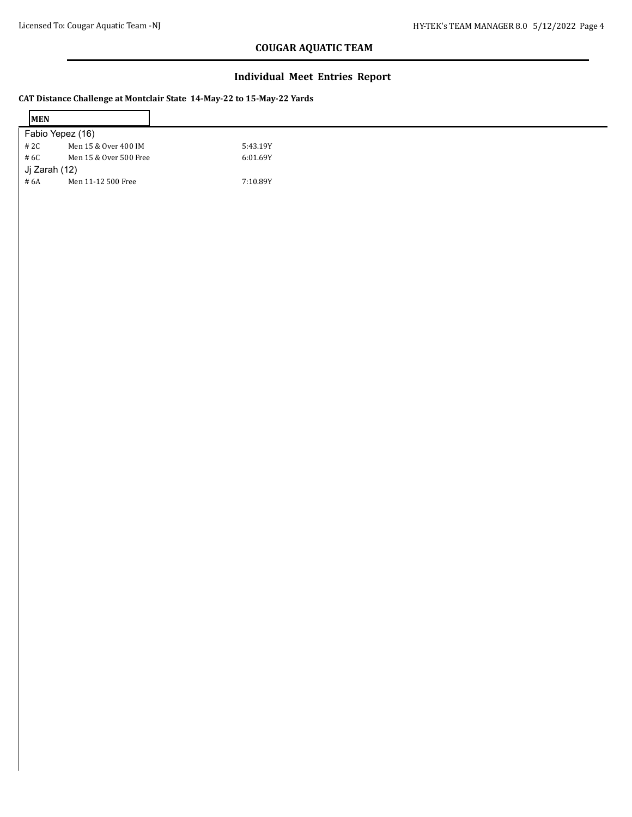$\mathbf{r}$ 

# **COUGAR AQUATIC TEAM**

### **Individual Meet Entries Report**

#### **CAT Distance Challenge at Montclair State 14-May-22 to 15-May-22 Yards**

| <b>IMEN</b>   |                        |          |
|---------------|------------------------|----------|
|               | Fabio Yepez (16)       |          |
| # 2C          | Men 15 & Over 400 IM   | 5:43.19Y |
| # 6C          | Men 15 & Over 500 Free | 6:01.69Y |
| Ji Zarah (12) |                        |          |
| # 6A          | Men 11-12 500 Free     | 7:10.89Y |

 $\overline{\phantom{0}}$